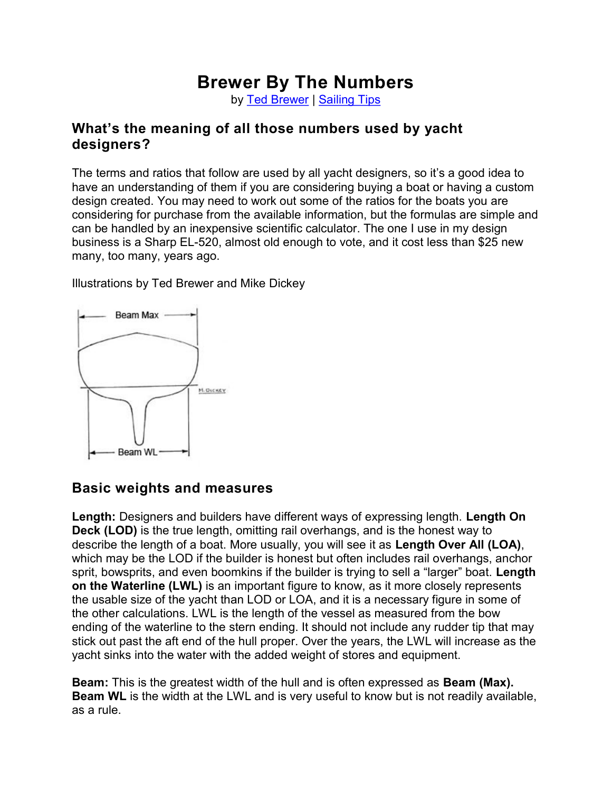# Brewer By The Numbers

by Ted Brewer | Sailing Tips

#### What's the meaning of all those numbers used by yacht designers?

The terms and ratios that follow are used by all yacht designers, so it's a good idea to have an understanding of them if you are considering buying a boat or having a custom design created. You may need to work out some of the ratios for the boats you are considering for purchase from the available information, but the formulas are simple and can be handled by an inexpensive scientific calculator. The one I use in my design business is a Sharp EL-520, almost old enough to vote, and it cost less than \$25 new many, too many, years ago.

Illustrations by Ted Brewer and Mike Dickey



## Basic weights and measures

Length: Designers and builders have different ways of expressing length. Length On Deck (LOD) is the true length, omitting rail overhangs, and is the honest way to describe the length of a boat. More usually, you will see it as Length Over All (LOA), which may be the LOD if the builder is honest but often includes rail overhangs, anchor sprit, bowsprits, and even boomkins if the builder is trying to sell a "larger" boat. Length on the Waterline (LWL) is an important figure to know, as it more closely represents the usable size of the yacht than LOD or LOA, and it is a necessary figure in some of the other calculations. LWL is the length of the vessel as measured from the bow ending of the waterline to the stern ending. It should not include any rudder tip that may stick out past the aft end of the hull proper. Over the years, the LWL will increase as the yacht sinks into the water with the added weight of stores and equipment.

**Beam:** This is the greatest width of the hull and is often expressed as **Beam (Max).** Beam WL is the width at the LWL and is very useful to know but is not readily available, as a rule.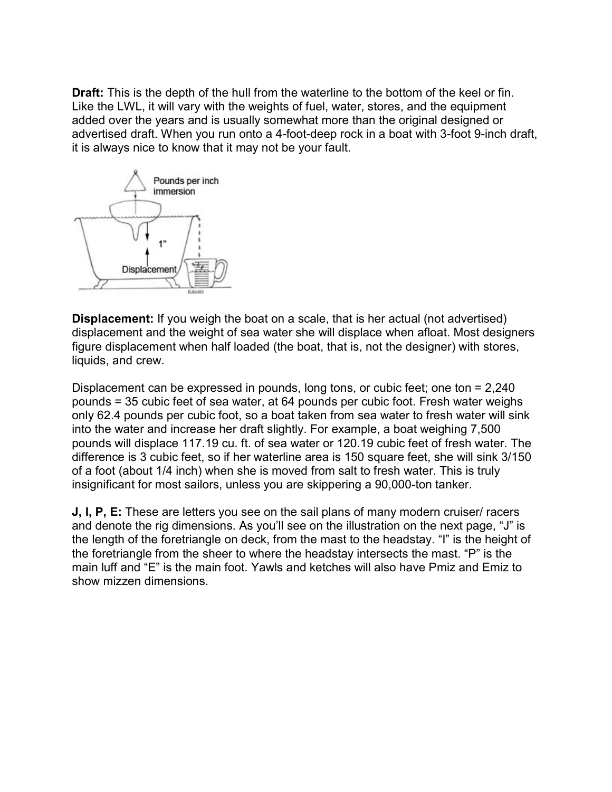**Draft:** This is the depth of the hull from the waterline to the bottom of the keel or fin. Like the LWL, it will vary with the weights of fuel, water, stores, and the equipment added over the years and is usually somewhat more than the original designed or advertised draft. When you run onto a 4-foot-deep rock in a boat with 3-foot 9-inch draft, it is always nice to know that it may not be your fault.



Displacement: If you weigh the boat on a scale, that is her actual (not advertised) displacement and the weight of sea water she will displace when afloat. Most designers figure displacement when half loaded (the boat, that is, not the designer) with stores, liquids, and crew.

Displacement can be expressed in pounds, long tons, or cubic feet; one ton = 2,240 pounds = 35 cubic feet of sea water, at 64 pounds per cubic foot. Fresh water weighs only 62.4 pounds per cubic foot, so a boat taken from sea water to fresh water will sink into the water and increase her draft slightly. For example, a boat weighing 7,500 pounds will displace 117.19 cu. ft. of sea water or 120.19 cubic feet of fresh water. The difference is 3 cubic feet, so if her waterline area is 150 square feet, she will sink 3/150 of a foot (about 1/4 inch) when she is moved from salt to fresh water. This is truly insignificant for most sailors, unless you are skippering a 90,000-ton tanker.

J, I, P, E: These are letters you see on the sail plans of many modern cruiser/ racers and denote the rig dimensions. As you'll see on the illustration on the next page, "J" is the length of the foretriangle on deck, from the mast to the headstay. "I" is the height of the foretriangle from the sheer to where the headstay intersects the mast. "P" is the main luff and "E" is the main foot. Yawls and ketches will also have Pmiz and Emiz to show mizzen dimensions.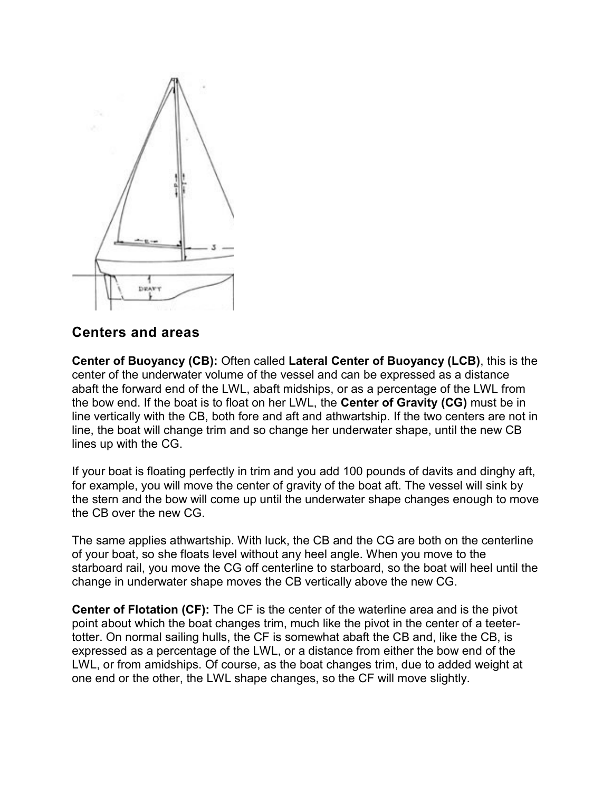

#### Centers and areas

Center of Buoyancy (CB): Often called Lateral Center of Buoyancy (LCB), this is the center of the underwater volume of the vessel and can be expressed as a distance abaft the forward end of the LWL, abaft midships, or as a percentage of the LWL from the bow end. If the boat is to float on her LWL, the Center of Gravity (CG) must be in line vertically with the CB, both fore and aft and athwartship. If the two centers are not in line, the boat will change trim and so change her underwater shape, until the new CB lines up with the CG.

If your boat is floating perfectly in trim and you add 100 pounds of davits and dinghy aft, for example, you will move the center of gravity of the boat aft. The vessel will sink by the stern and the bow will come up until the underwater shape changes enough to move the CB over the new CG.

The same applies athwartship. With luck, the CB and the CG are both on the centerline of your boat, so she floats level without any heel angle. When you move to the starboard rail, you move the CG off centerline to starboard, so the boat will heel until the change in underwater shape moves the CB vertically above the new CG.

Center of Flotation (CF): The CF is the center of the waterline area and is the pivot point about which the boat changes trim, much like the pivot in the center of a teetertotter. On normal sailing hulls, the CF is somewhat abaft the CB and, like the CB, is expressed as a percentage of the LWL, or a distance from either the bow end of the LWL, or from amidships. Of course, as the boat changes trim, due to added weight at one end or the other, the LWL shape changes, so the CF will move slightly.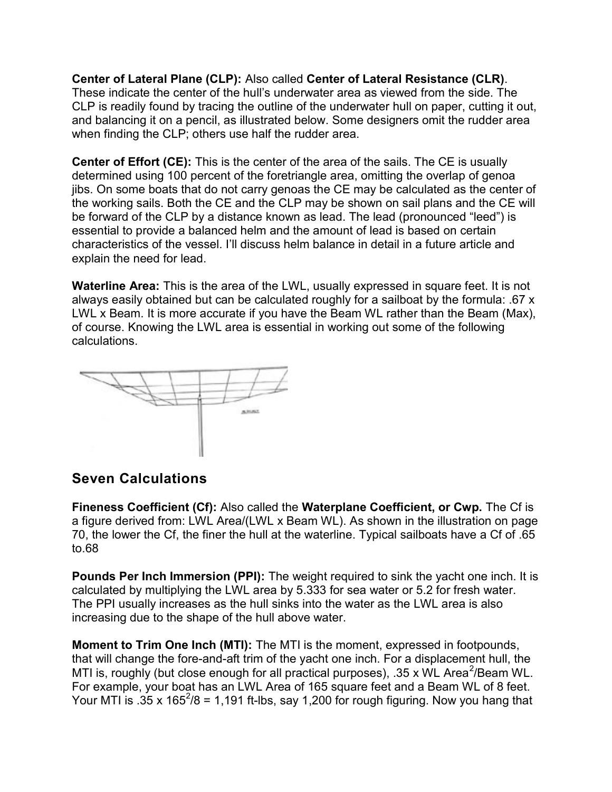Center of Lateral Plane (CLP): Also called Center of Lateral Resistance (CLR). These indicate the center of the hull's underwater area as viewed from the side. The CLP is readily found by tracing the outline of the underwater hull on paper, cutting it out, and balancing it on a pencil, as illustrated below. Some designers omit the rudder area when finding the CLP; others use half the rudder area.

Center of Effort (CE): This is the center of the area of the sails. The CE is usually determined using 100 percent of the foretriangle area, omitting the overlap of genoa jibs. On some boats that do not carry genoas the CE may be calculated as the center of the working sails. Both the CE and the CLP may be shown on sail plans and the CE will be forward of the CLP by a distance known as lead. The lead (pronounced "leed") is essential to provide a balanced helm and the amount of lead is based on certain characteristics of the vessel. I'll discuss helm balance in detail in a future article and explain the need for lead.

Waterline Area: This is the area of the LWL, usually expressed in square feet. It is not always easily obtained but can be calculated roughly for a sailboat by the formula: .67 x LWL x Beam. It is more accurate if you have the Beam WL rather than the Beam (Max), of course. Knowing the LWL area is essential in working out some of the following calculations.



### Seven Calculations

Fineness Coefficient (Cf): Also called the Waterplane Coefficient, or Cwp. The Cf is a figure derived from: LWL Area/(LWL x Beam WL). As shown in the illustration on page 70, the lower the Cf, the finer the hull at the waterline. Typical sailboats have a Cf of .65 to.68

Pounds Per Inch Immersion (PPI): The weight required to sink the yacht one inch. It is calculated by multiplying the LWL area by 5.333 for sea water or 5.2 for fresh water. The PPI usually increases as the hull sinks into the water as the LWL area is also increasing due to the shape of the hull above water.

Moment to Trim One Inch (MTI): The MTI is the moment, expressed in footpounds, that will change the fore-and-aft trim of the yacht one inch. For a displacement hull, the MTI is, roughly (but close enough for all practical purposes), .35 x WL Area $^2$ /Beam WL. For example, your boat has an LWL Area of 165 square feet and a Beam WL of 8 feet. Your MTI is .35 x 165<sup>2</sup>/8 = 1,191 ft-lbs, say 1,200 for rough figuring. Now you hang that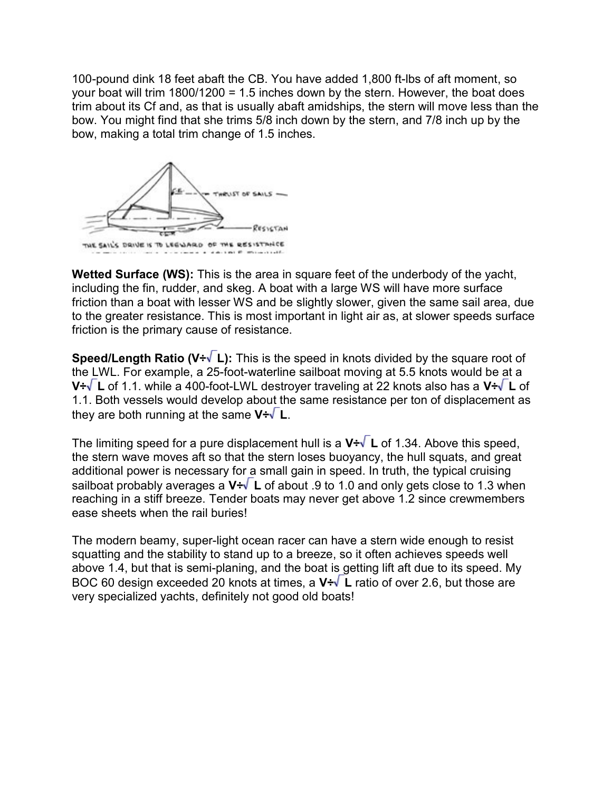100-pound dink 18 feet abaft the CB. You have added 1,800 ft-lbs of aft moment, so your boat will trim  $1800/1200 = 1.5$  inches down by the stern. However, the boat does trim about its Cf and, as that is usually abaft amidships, the stern will move less than the bow. You might find that she trims 5/8 inch down by the stern, and 7/8 inch up by the bow, making a total trim change of 1.5 inches.



Wetted Surface (WS): This is the area in square feet of the underbody of the yacht, including the fin, rudder, and skeg. A boat with a large WS will have more surface friction than a boat with lesser WS and be slightly slower, given the same sail area, due to the greater resistance. This is most important in light air as, at slower speeds surface friction is the primary cause of resistance.

**Speed/Length Ratio (V + L):** This is the speed in knots divided by the square root of the LWL. For example, a 25-foot-waterline sailboat moving at 5.5 knots would be at a V $\div\sqrt{L}$  of 1.1. while a 400-foot-LWL destroyer traveling at 22 knots also has a V $\div\sqrt{L}$  of 1.1. Both vessels would develop about the same resistance per ton of displacement as they are both running at the same  $V\div V$  L.

The limiting speed for a pure displacement hull is a  $V\div\sqrt{L}$  of 1.34. Above this speed, the stern wave moves aft so that the stern loses buoyancy, the hull squats, and great additional power is necessary for a small gain in speed. In truth, the typical cruising sailboat probably averages a  $V \div \sqrt{L}$  of about .9 to 1.0 and only gets close to 1.3 when reaching in a stiff breeze. Tender boats may never get above 1.2 since crewmembers ease sheets when the rail buries!

The modern beamy, super-light ocean racer can have a stern wide enough to resist squatting and the stability to stand up to a breeze, so it often achieves speeds well above 1.4, but that is semi-planing, and the boat is getting lift aft due to its speed. My BOC 60 design exceeded 20 knots at times, a  $V \div \sqrt{L}$  ratio of over 2.6, but those are very specialized yachts, definitely not good old boats!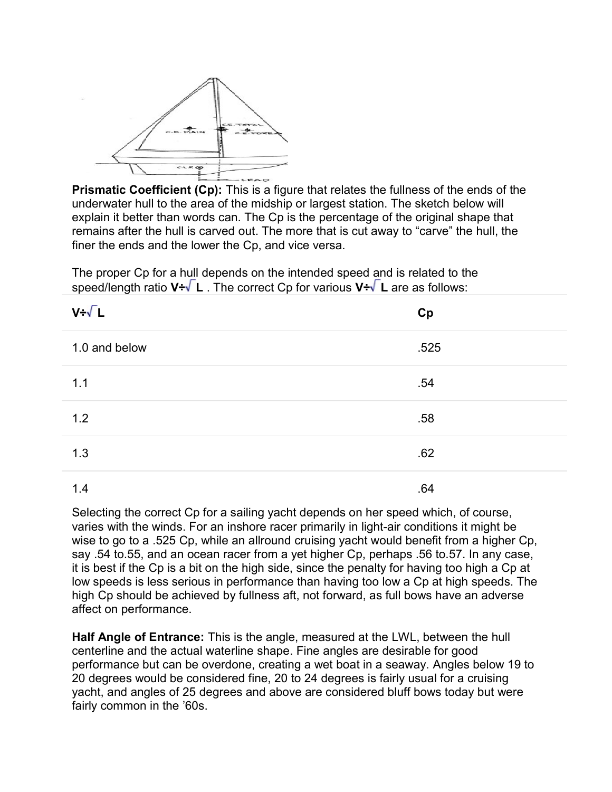

Prismatic Coefficient (Cp): This is a figure that relates the fullness of the ends of the underwater hull to the area of the midship or largest station. The sketch below will explain it better than words can. The Cp is the percentage of the original shape that remains after the hull is carved out. The more that is cut away to "carve" the hull, the finer the ends and the lower the Cp, and vice versa.

The proper Cp for a hull depends on the intended speed and is related to the speed/length ratio  $V \div \sqrt{L}$ . The correct Cp for various  $V \div \sqrt{L}$  are as follows:

| $V + \sqrt{L}$ | Cp   |
|----------------|------|
| 1.0 and below  | .525 |
| 1.1            | .54  |
| 1.2            | .58  |
| 1.3            | .62  |
| 1.4            | .64  |

Selecting the correct Cp for a sailing yacht depends on her speed which, of course, varies with the winds. For an inshore racer primarily in light-air conditions it might be wise to go to a .525 Cp, while an allround cruising yacht would benefit from a higher Cp, say .54 to.55, and an ocean racer from a yet higher Cp, perhaps .56 to.57. In any case, it is best if the Cp is a bit on the high side, since the penalty for having too high a Cp at low speeds is less serious in performance than having too low a Cp at high speeds. The high Cp should be achieved by fullness aft, not forward, as full bows have an adverse affect on performance.

Half Angle of Entrance: This is the angle, measured at the LWL, between the hull centerline and the actual waterline shape. Fine angles are desirable for good performance but can be overdone, creating a wet boat in a seaway. Angles below 19 to 20 degrees would be considered fine, 20 to 24 degrees is fairly usual for a cruising yacht, and angles of 25 degrees and above are considered bluff bows today but were fairly common in the '60s.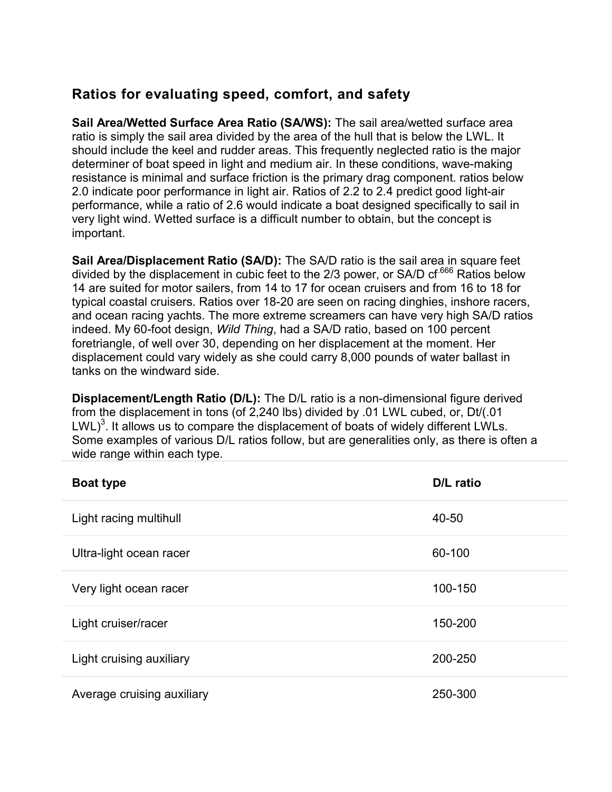## Ratios for evaluating speed, comfort, and safety

Sail Area/Wetted Surface Area Ratio (SA/WS): The sail area/wetted surface area ratio is simply the sail area divided by the area of the hull that is below the LWL. It should include the keel and rudder areas. This frequently neglected ratio is the major determiner of boat speed in light and medium air. In these conditions, wave-making resistance is minimal and surface friction is the primary drag component. ratios below 2.0 indicate poor performance in light air. Ratios of 2.2 to 2.4 predict good light-air performance, while a ratio of 2.6 would indicate a boat designed specifically to sail in very light wind. Wetted surface is a difficult number to obtain, but the concept is important.

Sail Area/Displacement Ratio (SA/D): The SA/D ratio is the sail area in square feet divided by the displacement in cubic feet to the  $2/3$  power, or SA/D cf<sup>.666</sup> Ratios below 14 are suited for motor sailers, from 14 to 17 for ocean cruisers and from 16 to 18 for typical coastal cruisers. Ratios over 18-20 are seen on racing dinghies, inshore racers, and ocean racing yachts. The more extreme screamers can have very high SA/D ratios indeed. My 60-foot design, Wild Thing, had a SA/D ratio, based on 100 percent foretriangle, of well over 30, depending on her displacement at the moment. Her displacement could vary widely as she could carry 8,000 pounds of water ballast in tanks on the windward side.

Displacement/Length Ratio (D/L): The D/L ratio is a non-dimensional figure derived from the displacement in tons (of 2,240 lbs) divided by .01 LWL cubed, or, Dt/(.01  $LWL$ <sup>3</sup>. It allows us to compare the displacement of boats of widely different LWLs. Some examples of various D/L ratios follow, but are generalities only, as there is often a wide range within each type.

| <b>Boat type</b>           | D/L ratio |
|----------------------------|-----------|
| Light racing multihull     | 40-50     |
| Ultra-light ocean racer    | 60-100    |
| Very light ocean racer     | 100-150   |
| Light cruiser/racer        | 150-200   |
| Light cruising auxiliary   | 200-250   |
| Average cruising auxiliary | 250-300   |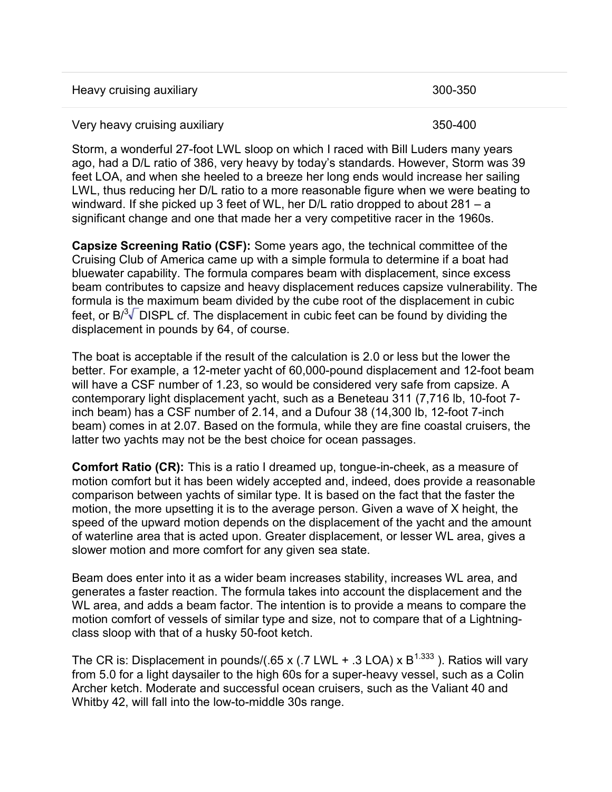| Heavy cruising auxiliary      | 300-350 |
|-------------------------------|---------|
| Very heavy cruising auxiliary | 350-400 |

Storm, a wonderful 27-foot LWL sloop on which I raced with Bill Luders many years ago, had a D/L ratio of 386, very heavy by today's standards. However, Storm was 39 feet LOA, and when she heeled to a breeze her long ends would increase her sailing LWL, thus reducing her D/L ratio to a more reasonable figure when we were beating to windward. If she picked up 3 feet of WL, her D/L ratio dropped to about 281 – a significant change and one that made her a very competitive racer in the 1960s.

Capsize Screening Ratio (CSF): Some years ago, the technical committee of the Cruising Club of America came up with a simple formula to determine if a boat had bluewater capability. The formula compares beam with displacement, since excess beam contributes to capsize and heavy displacement reduces capsize vulnerability. The formula is the maximum beam divided by the cube root of the displacement in cubic feet, or  $B^{3}$  DISPL cf. The displacement in cubic feet can be found by dividing the displacement in pounds by 64, of course.

The boat is acceptable if the result of the calculation is 2.0 or less but the lower the better. For example, a 12-meter yacht of 60,000-pound displacement and 12-foot beam will have a CSF number of 1.23, so would be considered very safe from capsize. A contemporary light displacement yacht, such as a Beneteau 311 (7,716 lb, 10-foot 7 inch beam) has a CSF number of 2.14, and a Dufour 38 (14,300 lb, 12-foot 7-inch beam) comes in at 2.07. Based on the formula, while they are fine coastal cruisers, the latter two yachts may not be the best choice for ocean passages.

Comfort Ratio (CR): This is a ratio I dreamed up, tongue-in-cheek, as a measure of motion comfort but it has been widely accepted and, indeed, does provide a reasonable comparison between yachts of similar type. It is based on the fact that the faster the motion, the more upsetting it is to the average person. Given a wave of X height, the speed of the upward motion depends on the displacement of the yacht and the amount of waterline area that is acted upon. Greater displacement, or lesser WL area, gives a slower motion and more comfort for any given sea state.

Beam does enter into it as a wider beam increases stability, increases WL area, and generates a faster reaction. The formula takes into account the displacement and the WL area, and adds a beam factor. The intention is to provide a means to compare the motion comfort of vessels of similar type and size, not to compare that of a Lightningclass sloop with that of a husky 50-foot ketch.

The CR is: Displacement in pounds/(.65 x (.7 LWL + .3 LOA) x  $B^{1.333}$ ). Ratios will vary from 5.0 for a light daysailer to the high 60s for a super-heavy vessel, such as a Colin Archer ketch. Moderate and successful ocean cruisers, such as the Valiant 40 and Whitby 42, will fall into the low-to-middle 30s range.